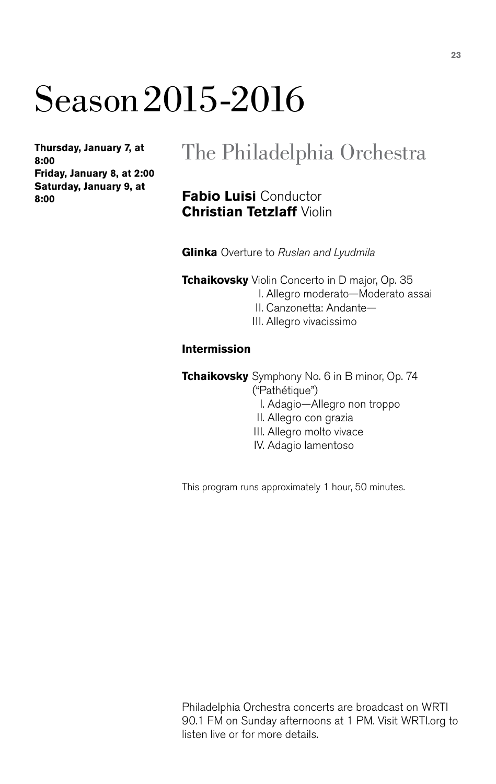# Season 2015-2016

**Thursday, January 7, at 8:00 Friday, January 8, at 2:00 Saturday, January 9, at 8:00**

### The Philadelphia Orchestra

#### **Fabio Luisi** Conductor **Christian Tetzlaff** Violin

**Glinka** Overture to *Ruslan and Lyudmila*

**Tchaikovsky** Violin Concerto in D major, Op. 35 I. Allegro moderato—Moderato assai II. Canzonetta: Andante—

III. Allegro vivacissimo

#### **Intermission**

**Tchaikovsky** Symphony No. 6 in B minor, Op. 74 ("Pathétique")

- I. Adagio—Allegro non troppo
- II. Allegro con grazia
- III. Allegro molto vivace
- IV. Adagio lamentoso

This program runs approximately 1 hour, 50 minutes.

Philadelphia Orchestra concerts are broadcast on WRTI 90.1 FM on Sunday afternoons at 1 PM. Visit WRTI.org to listen live or for more details.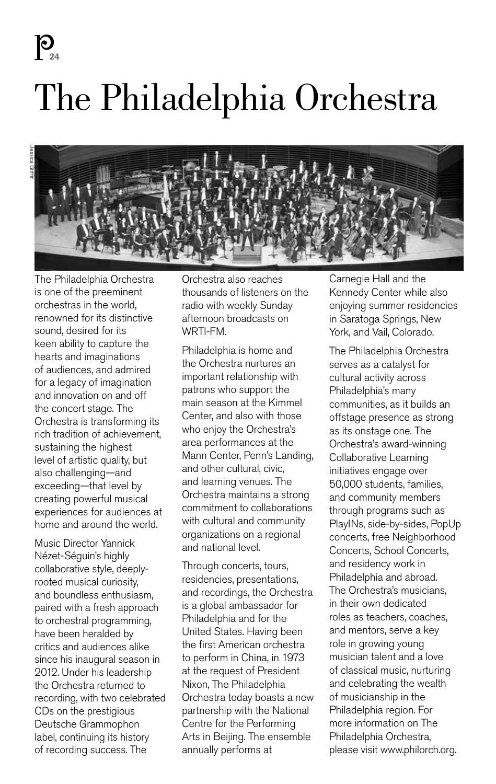**2 Story Title 24**

# The Philadelphia Orchestra



The Philadelphia Orchestra is one of the preeminent orchestras in the world, renowned for its distinctive sound, desired for its keen ability to capture the hearts and imaginations of audiences, and admired for a legacy of imagination and innovation on and off the concert stage. The Orchestra is transforming its rich tradition of achievement, sustaining the highest level of artistic quality, but also challenging—and exceeding—that level by creating powerful musical experiences for audiences at home and around the world.

Music Director Yannick Nézet-Séguin's highly collaborative style, deeplyrooted musical curiosity, and boundless enthusiasm, paired with a fresh approach to orchestral programming, have been heralded by critics and audiences alike since his inaugural season in 2012. Under his leadership the Orchestra returned to recording, with two celebrated CDs on the prestigious Deutsche Grammophon label, continuing its history of recording success. The

Orchestra also reaches thousands of listeners on the radio with weekly Sunday afternoon broadcasts on WRTI-FM.

Philadelphia is home and the Orchestra nurtures an important relationship with patrons who support the main season at the Kimmel Center, and also with those who enjoy the Orchestra's area performances at the Mann Center, Penn's Landing, and other cultural, civic, and learning venues. The Orchestra maintains a strong commitment to collaborations with cultural and community organizations on a regional and national level.

Through concerts, tours, residencies, presentations, and recordings, the Orchestra is a global ambassador for Philadelphia and for the United States. Having been the first American orchestra to perform in China, in 1973 at the request of President Nixon, The Philadelphia Orchestra today boasts a new partnership with the National Centre for the Performing Arts in Beijing. The ensemble annually performs at

Carnegie Hall and the Kennedy Center while also enjoying summer residencies in Saratoga Springs, New York, and Vail, Colorado.

The Philadelphia Orchestra serves as a catalyst for cultural activity across Philadelphia's many communities, as it builds an offstage presence as strong as its onstage one. The Orchestra's award-winning Collaborative Learning initiatives engage over 50,000 students, families, and community members through programs such as PlayINs, side-by-sides, PopUp concerts, free Neighborhood Concerts, School Concerts, and residency work in Philadelphia and abroad. The Orchestra's musicians, in their own dedicated roles as teachers, coaches, and mentors, serve a key role in growing young musician talent and a love of classical music, nurturing and celebrating the wealth of musicianship in the Philadelphia region. For more information on The Philadelphia Orchestra, please visit www.philorch.org.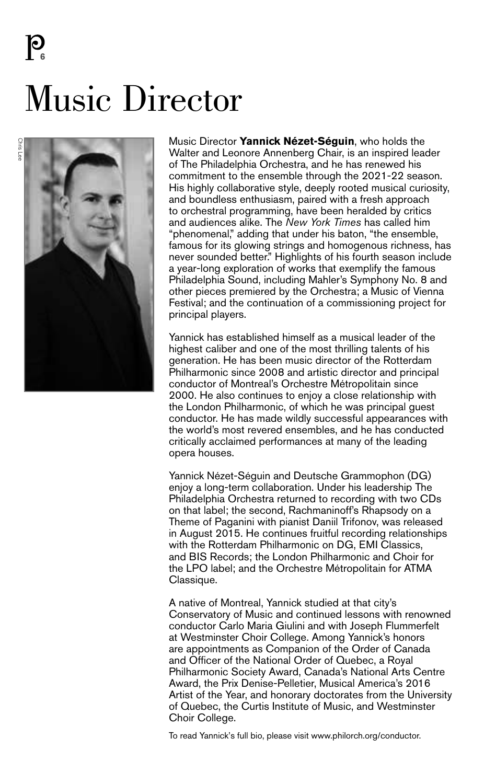Music Director



Music Director **Yannick Nézet-Séguin**, who holds the Walter and Leonore Annenberg Chair, is an inspired leader of The Philadelphia Orchestra, and he has renewed his commitment to the ensemble through the 2021-22 season. His highly collaborative style, deeply rooted musical curiosity, and boundless enthusiasm, paired with a fresh approach to orchestral programming, have been heralded by critics and audiences alike. The *New York Times* has called him "phenomenal," adding that under his baton, "the ensemble, famous for its glowing strings and homogenous richness, has never sounded better." Highlights of his fourth season include a year-long exploration of works that exemplify the famous Philadelphia Sound, including Mahler's Symphony No. 8 and other pieces premiered by the Orchestra; a Music of Vienna Festival; and the continuation of a commissioning project for principal players.

Yannick has established himself as a musical leader of the highest caliber and one of the most thrilling talents of his generation. He has been music director of the Rotterdam Philharmonic since 2008 and artistic director and principal conductor of Montreal's Orchestre Métropolitain since 2000. He also continues to enjoy a close relationship with the London Philharmonic, of which he was principal guest conductor. He has made wildly successful appearances with the world's most revered ensembles, and he has conducted critically acclaimed performances at many of the leading opera houses.

Yannick Nézet-Séguin and Deutsche Grammophon (DG) enjoy a long-term collaboration. Under his leadership The Philadelphia Orchestra returned to recording with two CDs on that label; the second, Rachmaninoff's Rhapsody on a Theme of Paganini with pianist Daniil Trifonov, was released in August 2015. He continues fruitful recording relationships with the Rotterdam Philharmonic on DG, EMI Classics, and BIS Records; the London Philharmonic and Choir for the LPO label; and the Orchestre Métropolitain for ATMA Classique.

A native of Montreal, Yannick studied at that city's Conservatory of Music and continued lessons with renowned conductor Carlo Maria Giulini and with Joseph Flummerfelt at Westminster Choir College. Among Yannick's honors are appointments as Companion of the Order of Canada and Officer of the National Order of Quebec, a Royal Philharmonic Society Award, Canada's National Arts Centre Award, the Prix Denise-Pelletier, Musical America's 2016 Artist of the Year, and honorary doctorates from the University of Quebec, the Curtis Institute of Music, and Westminster Choir College.

To read Yannick's full bio, please visit www.philorch.org/conductor.

**6**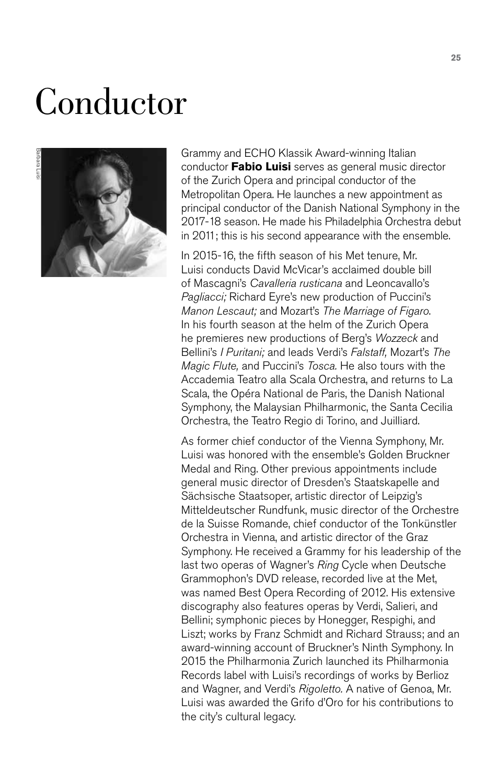# Conductor



Grammy and ECHO Klassik Award-winning Italian conductor **Fabio Luisi** serves as general music director of the Zurich Opera and principal conductor of the Metropolitan Opera. He launches a new appointment as principal conductor of the Danish National Symphony in the 2017-18 season. He made his Philadelphia Orchestra debut in 2011; this is his second appearance with the ensemble.

In 2015-16, the fifth season of his Met tenure, Mr. Luisi conducts David McVicar's acclaimed double bill of Mascagni's *Cavalleria rusticana* and Leoncavallo's *Pagliacci;* Richard Eyre's new production of Puccini's *Manon Lescaut;* and Mozart's *The Marriage of Figaro*. In his fourth season at the helm of the Zurich Opera he premieres new productions of Berg's *Wozzeck* and Bellini's *I Puritani;* and leads Verdi's *Falstaff,* Mozart's *The Magic Flute,* and Puccini's *Tosca.* He also tours with the Accademia Teatro alla Scala Orchestra, and returns to La Scala, the Opéra National de Paris, the Danish National Symphony, the Malaysian Philharmonic, the Santa Cecilia Orchestra, the Teatro Regio di Torino, and Juilliard.

As former chief conductor of the Vienna Symphony, Mr. Luisi was honored with the ensemble's Golden Bruckner Medal and Ring. Other previous appointments include general music director of Dresden's Staatskapelle and Sächsische Staatsoper, artistic director of Leipzig's Mitteldeutscher Rundfunk, music director of the Orchestre de la Suisse Romande, chief conductor of the Tonkünstler Orchestra in Vienna, and artistic director of the Graz Symphony. He received a Grammy for his leadership of the last two operas of Wagner's *Ring* Cycle when Deutsche Grammophon's DVD release, recorded live at the Met, was named Best Opera Recording of 2012. His extensive discography also features operas by Verdi, Salieri, and Bellini; symphonic pieces by Honegger, Respighi, and Liszt; works by Franz Schmidt and Richard Strauss; and an award-winning account of Bruckner's Ninth Symphony. In 2015 the Philharmonia Zurich launched its Philharmonia Records label with Luisi's recordings of works by Berlioz and Wagner, and Verdi's *Rigoletto.* A native of Genoa, Mr. Luisi was awarded the Grifo d'Oro for his contributions to the city's cultural legacy.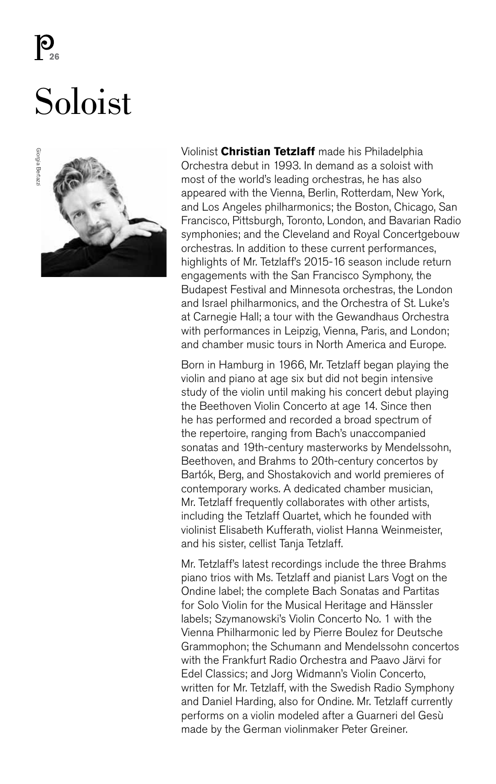**2** 

## Soloist



Violinist **Christian Tetzlaff** made his Philadelphia Orchestra debut in 1993. In demand as a soloist with most of the world's leading orchestras, he has also appeared with the Vienna, Berlin, Rotterdam, New York, and Los Angeles philharmonics; the Boston, Chicago, San Francisco, Pittsburgh, Toronto, London, and Bavarian Radio symphonies; and the Cleveland and Royal Concertgebouw orchestras. In addition to these current performances, highlights of Mr. Tetzlaff's 2015-16 season include return engagements with the San Francisco Symphony, the Budapest Festival and Minnesota orchestras, the London and Israel philharmonics, and the Orchestra of St. Luke's at Carnegie Hall; a tour with the Gewandhaus Orchestra with performances in Leipzig, Vienna, Paris, and London; and chamber music tours in North America and Europe.

Born in Hamburg in 1966, Mr. Tetzlaff began playing the violin and piano at age six but did not begin intensive study of the violin until making his concert debut playing the Beethoven Violin Concerto at age 14. Since then he has performed and recorded a broad spectrum of the repertoire, ranging from Bach's unaccompanied sonatas and 19th-century masterworks by Mendelssohn, Beethoven, and Brahms to 20th-century concertos by Bartók, Berg, and Shostakovich and world premieres of contemporary works. A dedicated chamber musician, Mr. Tetzlaff frequently collaborates with other artists, including the Tetzlaff Quartet, which he founded with violinist Elisabeth Kufferath, violist Hanna Weinmeister, and his sister, cellist Tanja Tetzlaff.

Mr. Tetzlaff's latest recordings include the three Brahms piano trios with Ms. Tetzlaff and pianist Lars Vogt on the Ondine label; the complete Bach Sonatas and Partitas for Solo Violin for the Musical Heritage and Hänssler labels; Szymanowski's Violin Concerto No. 1 with the Vienna Philharmonic led by Pierre Boulez for Deutsche Grammophon; the Schumann and Mendelssohn concertos with the Frankfurt Radio Orchestra and Paavo Järvi for Edel Classics; and Jorg Widmann's Violin Concerto, written for Mr. Tetzlaff, with the Swedish Radio Symphony and Daniel Harding, also for Ondine. Mr. Tetzlaff currently performs on a violin modeled after a Guarneri del Gesù made by the German violinmaker Peter Greiner.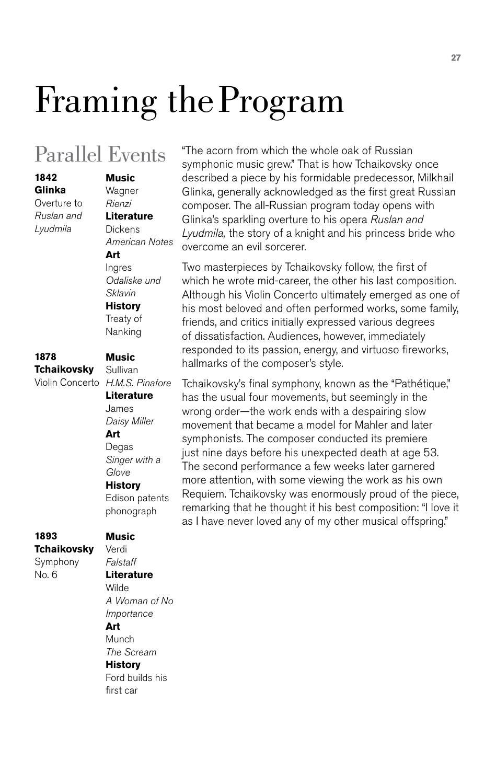# Framing the Program

### Parallel Events

**Glinka** Overture to *Ruslan and Lyudmila*

**1842**

#### *Rienzi* **Literature Dickens** *American Notes* **Art** Ingres

**Music** Wagner

*Odaliske und Sklavin* **History** Treaty of Nanking

**Music**

#### **1878 Tchaikovsky**

#### Violin Concerto *H.M.S. Pinafore* Sullivan **Literature** James *Daisy Miller* **Art** Degas *Singer with a Glove* **History** Edison patents

phonograph

#### **1893 Tchaikovsky**

Symphony No. 6

#### Verdi *Falstaff* **Literature**

**Music**

Wilde *A Woman of No Importance*

#### **Art**

**Munch** *The Scream*

#### **History**

Ford builds his first car

"The acorn from which the whole oak of Russian symphonic music grew." That is how Tchaikovsky once described a piece by his formidable predecessor, Milkhail Glinka, generally acknowledged as the first great Russian composer. The all-Russian program today opens with Glinka's sparkling overture to his opera *Ruslan and Lyudmila,* the story of a knight and his princess bride who overcome an evil sorcerer.

Two masterpieces by Tchaikovsky follow, the first of which he wrote mid-career, the other his last composition. Although his Violin Concerto ultimately emerged as one of his most beloved and often performed works, some family, friends, and critics initially expressed various degrees of dissatisfaction. Audiences, however, immediately responded to its passion, energy, and virtuoso fireworks, hallmarks of the composer's style.

Tchaikovsky's final symphony, known as the "Pathétique," has the usual four movements, but seemingly in the wrong order—the work ends with a despairing slow movement that became a model for Mahler and later symphonists. The composer conducted its premiere just nine days before his unexpected death at age 53. The second performance a few weeks later garnered more attention, with some viewing the work as his own Requiem. Tchaikovsky was enormously proud of the piece, remarking that he thought it his best composition: "I love it as I have never loved any of my other musical offspring."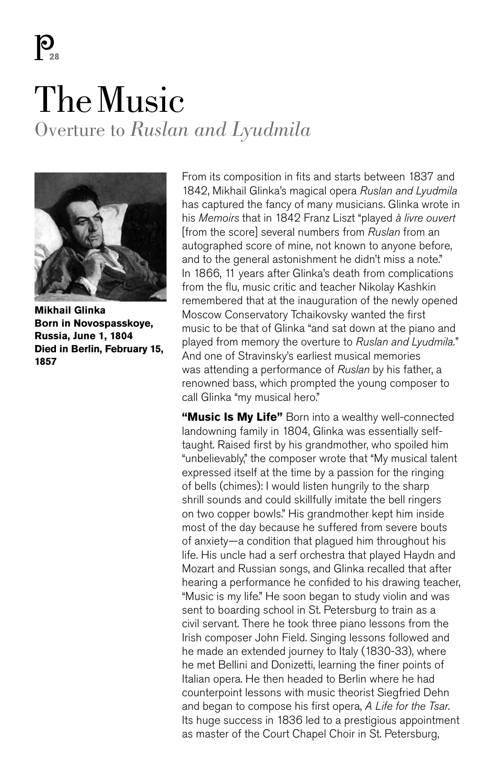$\mathbf{P}_{\mathbf{A}}$ 

## The Music Overture to *Ruslan and Lyudmila*



**Mikhail Glinka Born in Novospasskoye, Russia, June 1, 1804 Died in Berlin, February 15, 1857**

From its composition in fits and starts between 1837 and 1842, Mikhail Glinka's magical opera *Ruslan and Lyudmila* has captured the fancy of many musicians. Glinka wrote in his *Memoirs* that in 1842 Franz Liszt "played *à livre ouvert* [from the score] several numbers from *Ruslan* from an autographed score of mine, not known to anyone before, and to the general astonishment he didn't miss a note." In 1866, 11 years after Glinka's death from complications from the flu, music critic and teacher Nikolay Kashkin remembered that at the inauguration of the newly opened Moscow Conservatory Tchaikovsky wanted the first music to be that of Glinka "and sat down at the piano and played from memory the overture to *Ruslan and Lyudmila.*" And one of Stravinsky's earliest musical memories was attending a performance of *Ruslan* by his father, a renowned bass, which prompted the young composer to call Glinka "my musical hero."

**"Music Is My Life"** Born into a wealthy well-connected landowning family in 1804, Glinka was essentially selftaught. Raised first by his grandmother, who spoiled him "unbelievably," the composer wrote that "My musical talent expressed itself at the time by a passion for the ringing of bells (chimes): I would listen hungrily to the sharp shrill sounds and could skillfully imitate the bell ringers on two copper bowls." His grandmother kept him inside most of the day because he suffered from severe bouts of anxiety—a condition that plagued him throughout his life. His uncle had a serf orchestra that played Haydn and Mozart and Russian songs, and Glinka recalled that after hearing a performance he confided to his drawing teacher, "Music is my life." He soon began to study violin and was sent to boarding school in St. Petersburg to train as a civil servant. There he took three piano lessons from the Irish composer John Field. Singing lessons followed and he made an extended journey to Italy (1830-33), where he met Bellini and Donizetti, learning the finer points of Italian opera. He then headed to Berlin where he had counterpoint lessons with music theorist Siegfried Dehn and began to compose his first opera, *A Life for the Tsar.* Its huge success in 1836 led to a prestigious appointment as master of the Court Chapel Choir in St. Petersburg,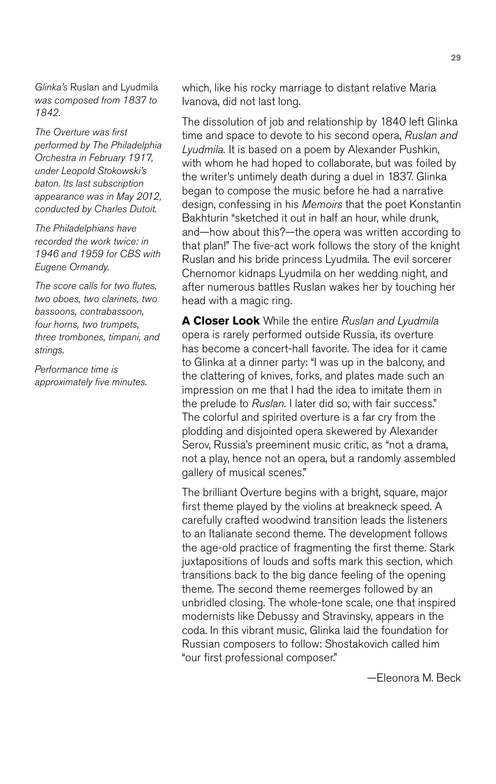*Glinka's* Ruslan and Lyudmila *was composed from 1837 to 1842.*

*The Overture was first performed by The Philadelphia Orchestra in February 1917, under Leopold Stokowski's baton. Its last subscription appearance was in May 2012, conducted by Charles Dutoit.* 

*The Philadelphians have recorded the work twice: in 1946 and 1959 for CBS with Eugene Ormandy.*

*The score calls for two flutes, two oboes, two clarinets, two bassoons, contrabassoon, four horns, two trumpets, three trombones, timpani, and strings.*

*Performance time is approximately five minutes.* which, like his rocky marriage to distant relative Maria Ivanova, did not last long.

The dissolution of job and relationship by 1840 left Glinka time and space to devote to his second opera, *Ruslan and Lyudmila.* It is based on a poem by Alexander Pushkin, with whom he had hoped to collaborate, but was foiled by the writer's untimely death during a duel in 1837. Glinka began to compose the music before he had a narrative design, confessing in his *Memoirs* that the poet Konstantin Bakhturin "sketched it out in half an hour, while drunk, and—how about this?—the opera was written according to that plan!" The five-act work follows the story of the knight Ruslan and his bride princess Lyudmila. The evil sorcerer Chernomor kidnaps Lyudmila on her wedding night, and after numerous battles Ruslan wakes her by touching her head with a magic ring.

**A Closer Look** While the entire *Ruslan and Lyudmila* opera is rarely performed outside Russia, its overture has become a concert-hall favorite. The idea for it came to Glinka at a dinner party: "I was up in the balcony, and the clattering of knives, forks, and plates made such an impression on me that I had the idea to imitate them in the prelude to *Ruslan.* I later did so, with fair success." The colorful and spirited overture is a far cry from the plodding and disjointed opera skewered by Alexander Serov, Russia's preeminent music critic, as "not a drama, not a play, hence not an opera, but a randomly assembled gallery of musical scenes."

The brilliant Overture begins with a bright, square, major first theme played by the violins at breakneck speed. A carefully crafted woodwind transition leads the listeners to an Italianate second theme. The development follows the age-old practice of fragmenting the first theme. Stark juxtapositions of louds and softs mark this section, which transitions back to the big dance feeling of the opening theme. The second theme reemerges followed by an unbridled closing. The whole-tone scale, one that inspired modernists like Debussy and Stravinsky, appears in the coda. In this vibrant music, Glinka laid the foundation for Russian composers to follow: Shostakovich called him "our first professional composer."

—Eleonora M. Beck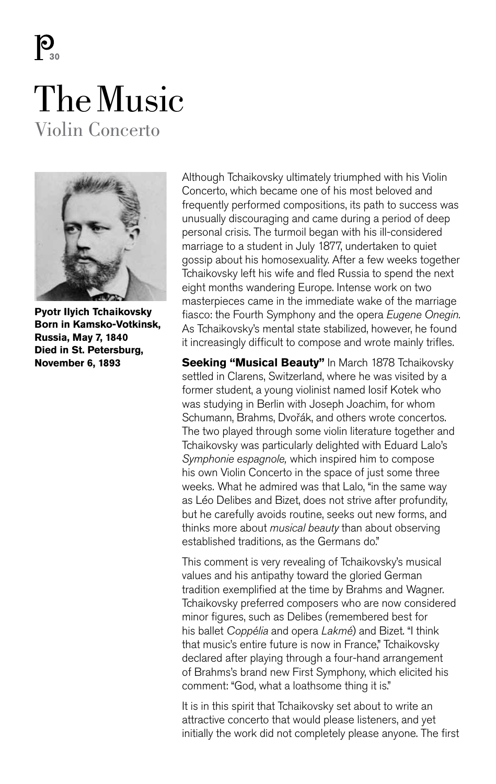$\mathbf{P}_{\mathbf{a}}$ 

### The Music Violin Concerto



**Pyotr Ilyich Tchaikovsky Born in Kamsko-Votkinsk, Russia, May 7, 1840 Died in St. Petersburg, November 6, 1893** 

Although Tchaikovsky ultimately triumphed with his Violin Concerto, which became one of his most beloved and frequently performed compositions, its path to success was unusually discouraging and came during a period of deep personal crisis. The turmoil began with his ill-considered marriage to a student in July 1877, undertaken to quiet gossip about his homosexuality. After a few weeks together Tchaikovsky left his wife and fled Russia to spend the next eight months wandering Europe. Intense work on two masterpieces came in the immediate wake of the marriage fiasco: the Fourth Symphony and the opera *Eugene Onegin.* As Tchaikovsky's mental state stabilized, however, he found it increasingly difficult to compose and wrote mainly trifles.

**Seeking "Musical Beauty"** In March 1878 Tchaikovsky settled in Clarens, Switzerland, where he was visited by a former student, a young violinist named Iosif Kotek who was studying in Berlin with Joseph Joachim, for whom Schumann, Brahms, Dvořák, and others wrote concertos. The two played through some violin literature together and Tchaikovsky was particularly delighted with Eduard Lalo's *Symphonie espagnole,* which inspired him to compose his own Violin Concerto in the space of just some three weeks. What he admired was that Lalo, "in the same way as Léo Delibes and Bizet, does not strive after profundity, but he carefully avoids routine, seeks out new forms, and thinks more about *musical beauty* than about observing established traditions, as the Germans do."

This comment is very revealing of Tchaikovsky's musical values and his antipathy toward the gloried German tradition exemplified at the time by Brahms and Wagner. Tchaikovsky preferred composers who are now considered minor figures, such as Delibes (remembered best for his ballet *Coppélia* and opera *Lakmé*) and Bizet. "I think that music's entire future is now in France," Tchaikovsky declared after playing through a four-hand arrangement of Brahms's brand new First Symphony, which elicited his comment: "God, what a loathsome thing it is."

It is in this spirit that Tchaikovsky set about to write an attractive concerto that would please listeners, and yet initially the work did not completely please anyone. The first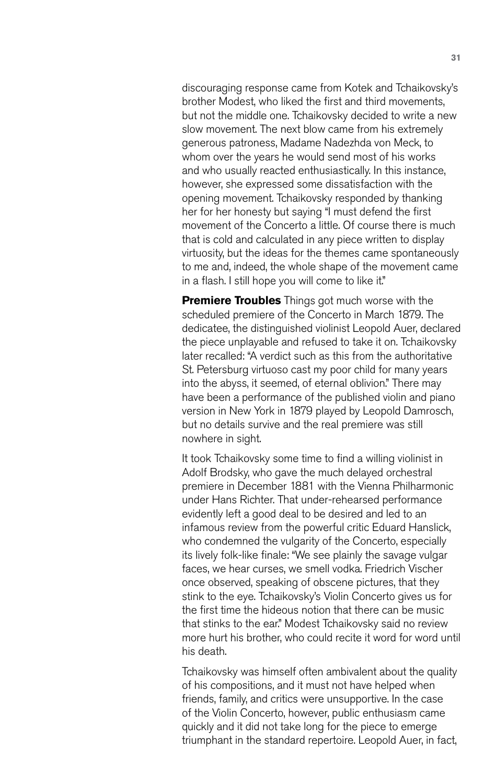discouraging response came from Kotek and Tchaikovsky's brother Modest, who liked the first and third movements, but not the middle one. Tchaikovsky decided to write a new slow movement. The next blow came from his extremely generous patroness, Madame Nadezhda von Meck, to whom over the years he would send most of his works and who usually reacted enthusiastically. In this instance, however, she expressed some dissatisfaction with the opening movement. Tchaikovsky responded by thanking her for her honesty but saying "I must defend the first movement of the Concerto a little. Of course there is much that is cold and calculated in any piece written to display virtuosity, but the ideas for the themes came spontaneously to me and, indeed, the whole shape of the movement came in a flash. I still hope you will come to like it."

**Premiere Troubles** Things got much worse with the scheduled premiere of the Concerto in March 1879. The dedicatee, the distinguished violinist Leopold Auer, declared the piece unplayable and refused to take it on. Tchaikovsky later recalled: "A verdict such as this from the authoritative St. Petersburg virtuoso cast my poor child for many years into the abyss, it seemed, of eternal oblivion." There may have been a performance of the published violin and piano version in New York in 1879 played by Leopold Damrosch, but no details survive and the real premiere was still nowhere in sight.

It took Tchaikovsky some time to find a willing violinist in Adolf Brodsky, who gave the much delayed orchestral premiere in December 1881 with the Vienna Philharmonic under Hans Richter. That under-rehearsed performance evidently left a good deal to be desired and led to an infamous review from the powerful critic Eduard Hanslick, who condemned the vulgarity of the Concerto, especially its lively folk-like finale: "We see plainly the savage vulgar faces, we hear curses, we smell vodka. Friedrich Vischer once observed, speaking of obscene pictures, that they stink to the eye. Tchaikovsky's Violin Concerto gives us for the first time the hideous notion that there can be music that stinks to the ear." Modest Tchaikovsky said no review more hurt his brother, who could recite it word for word until his death.

Tchaikovsky was himself often ambivalent about the quality of his compositions, and it must not have helped when friends, family, and critics were unsupportive. In the case of the Violin Concerto, however, public enthusiasm came quickly and it did not take long for the piece to emerge triumphant in the standard repertoire. Leopold Auer, in fact,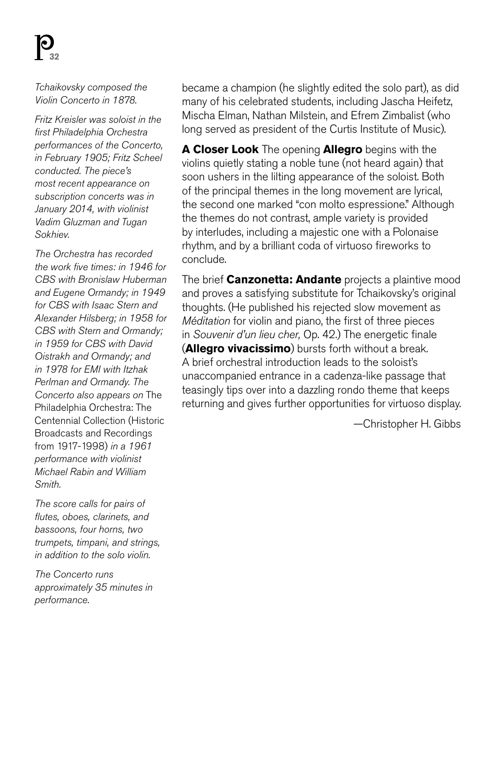*Tchaikovsky composed the Violin Concerto in 1878.*

*Fritz Kreisler was soloist in the first Philadelphia Orchestra performances of the Concerto, in February 1905; Fritz Scheel conducted. The piece's most recent appearance on subscription concerts was in January 2014, with violinist Vadim Gluzman and Tugan Sokhiev.*

*The Orchestra has recorded the work five times: in 1946 for CBS with Bronislaw Huberman and Eugene Ormandy; in 1949 for CBS with Isaac Stern and Alexander Hilsberg; in 1958 for CBS with Stern and Ormandy; in 1959 for CBS with David Oistrakh and Ormandy; and in 1978 for EMI with Itzhak Perlman and Ormandy. The Concerto also appears on* The Philadelphia Orchestra: The Centennial Collection (Historic Broadcasts and Recordings from 1917-1998) *in a 1961 performance with violinist Michael Rabin and William Smith.*

*The score calls for pairs of flutes, oboes, clarinets, and bassoons, four horns, two trumpets, timpani, and strings, in addition to the solo violin.*

*The Concerto runs approximately 35 minutes in performance.*

became a champion (he slightly edited the solo part), as did many of his celebrated students, including Jascha Heifetz, Mischa Elman, Nathan Milstein, and Efrem Zimbalist (who long served as president of the Curtis Institute of Music).

**A Closer Look** The opening **Allegro** begins with the violins quietly stating a noble tune (not heard again) that soon ushers in the lilting appearance of the soloist. Both of the principal themes in the long movement are lyrical, the second one marked "con molto espressione." Although the themes do not contrast, ample variety is provided by interludes, including a majestic one with a Polonaise rhythm, and by a brilliant coda of virtuoso fireworks to conclude.

The brief **Canzonetta: Andante** projects a plaintive mood and proves a satisfying substitute for Tchaikovsky's original thoughts. (He published his rejected slow movement as *Méditation* for violin and piano, the first of three pieces in *Souvenir d'un lieu cher,* Op. 42.) The energetic finale (**Allegro vivacissimo**) bursts forth without a break. A brief orchestral introduction leads to the soloist's unaccompanied entrance in a cadenza-like passage that teasingly tips over into a dazzling rondo theme that keeps returning and gives further opportunities for virtuoso display.

—Christopher H. Gibbs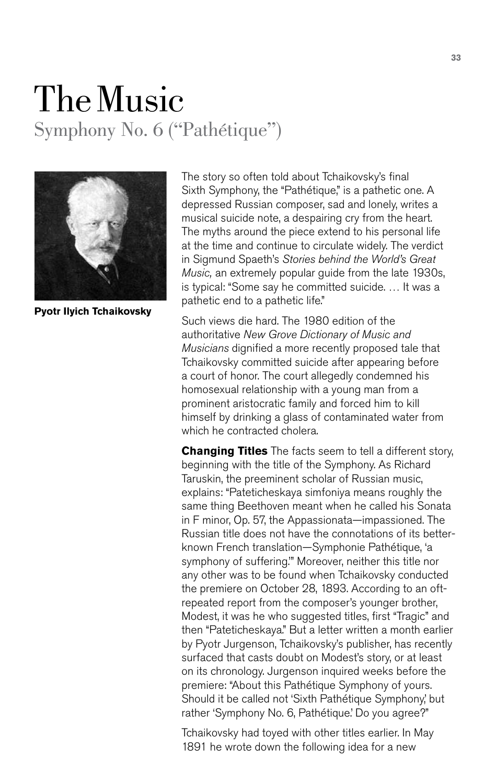## The Music Symphony No. 6 ("Pathétique")



**Pyotr Ilyich Tchaikovsky**

The story so often told about Tchaikovsky's final Sixth Symphony, the "Pathétique," is a pathetic one. A depressed Russian composer, sad and lonely, writes a musical suicide note, a despairing cry from the heart. The myths around the piece extend to his personal life at the time and continue to circulate widely. The verdict in Sigmund Spaeth's *Stories behind the World's Great Music,* an extremely popular guide from the late 1930s, is typical: "Some say he committed suicide. … It was a pathetic end to a pathetic life."

Such views die hard. The 1980 edition of the authoritative *New Grove Dictionary of Music and Musicians* dignified a more recently proposed tale that Tchaikovsky committed suicide after appearing before a court of honor. The court allegedly condemned his homosexual relationship with a young man from a prominent aristocratic family and forced him to kill himself by drinking a glass of contaminated water from which he contracted cholera.

**Changing Titles** The facts seem to tell a different story, beginning with the title of the Symphony. As Richard Taruskin, the preeminent scholar of Russian music, explains: "Pateticheskaya simfoniya means roughly the same thing Beethoven meant when he called his Sonata in F minor, Op. 57, the Appassionata—impassioned. The Russian title does not have the connotations of its betterknown French translation—Symphonie Pathétique, 'a symphony of suffering.'" Moreover, neither this title nor any other was to be found when Tchaikovsky conducted the premiere on October 28, 1893. According to an oftrepeated report from the composer's younger brother, Modest, it was he who suggested titles, first "Tragic" and then "Pateticheskaya." But a letter written a month earlier by Pyotr Jurgenson, Tchaikovsky's publisher, has recently surfaced that casts doubt on Modest's story, or at least on its chronology. Jurgenson inquired weeks before the premiere: "About this Pathétique Symphony of yours. Should it be called not 'Sixth Pathétique Symphony,' but rather 'Symphony No. 6, Pathétique.' Do you agree?"

Tchaikovsky had toyed with other titles earlier. In May 1891 he wrote down the following idea for a new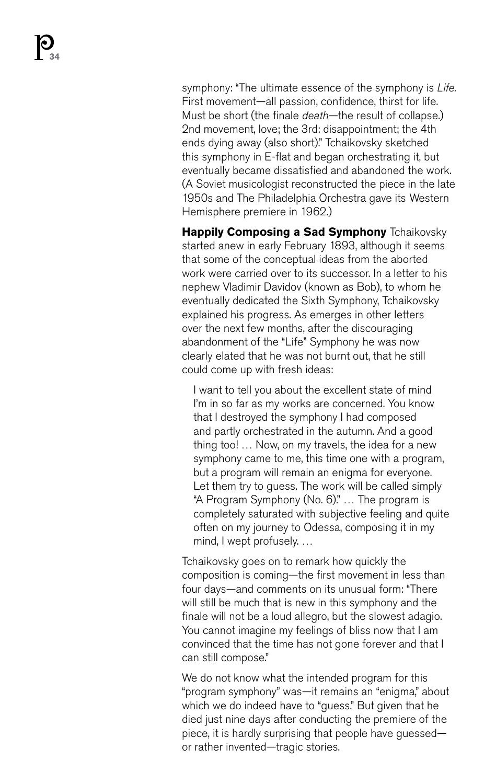symphony: "The ultimate essence of the symphony is *Life.* First movement—all passion, confidence, thirst for life. Must be short (the finale *death*—the result of collapse.) 2nd movement, love; the 3rd: disappointment; the 4th ends dying away (also short)." Tchaikovsky sketched this symphony in E-flat and began orchestrating it, but eventually became dissatisfied and abandoned the work. (A Soviet musicologist reconstructed the piece in the late 1950s and The Philadelphia Orchestra gave its Western Hemisphere premiere in 1962.)

**Happily Composing a Sad Symphony** Tchaikovsky started anew in early February 1893, although it seems that some of the conceptual ideas from the aborted work were carried over to its successor. In a letter to his nephew Vladimir Davidov (known as Bob), to whom he eventually dedicated the Sixth Symphony, Tchaikovsky explained his progress. As emerges in other letters over the next few months, after the discouraging abandonment of the "Life" Symphony he was now clearly elated that he was not burnt out, that he still could come up with fresh ideas:

I want to tell you about the excellent state of mind I'm in so far as my works are concerned. You know that I destroyed the symphony I had composed and partly orchestrated in the autumn. And a good thing too! … Now, on my travels, the idea for a new symphony came to me, this time one with a program, but a program will remain an enigma for everyone. Let them try to guess. The work will be called simply "A Program Symphony (No. 6)." … The program is completely saturated with subjective feeling and quite often on my journey to Odessa, composing it in my mind, I wept profusely. …

Tchaikovsky goes on to remark how quickly the composition is coming—the first movement in less than four days—and comments on its unusual form: "There will still be much that is new in this symphony and the finale will not be a loud allegro, but the slowest adagio. You cannot imagine my feelings of bliss now that I am convinced that the time has not gone forever and that I can still compose."

We do not know what the intended program for this "program symphony" was—it remains an "enigma," about which we do indeed have to "guess." But given that he died just nine days after conducting the premiere of the piece, it is hardly surprising that people have guessed or rather invented—tragic stories.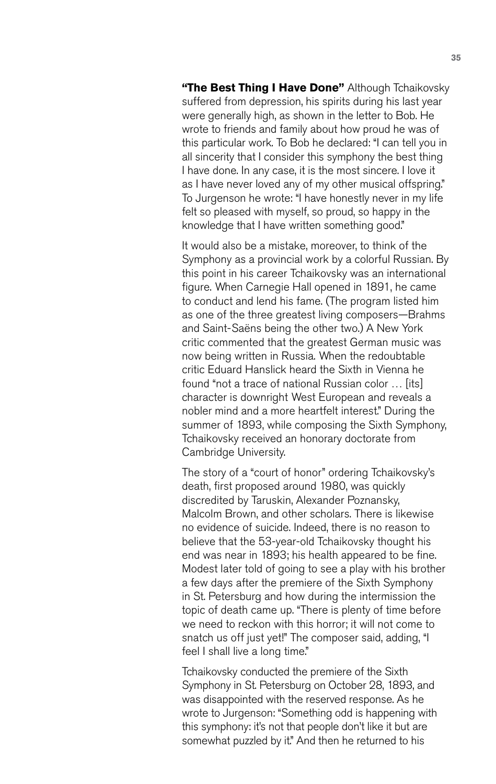**"The Best Thing I Have Done"** Although Tchaikovsky suffered from depression, his spirits during his last year were generally high, as shown in the letter to Bob. He wrote to friends and family about how proud he was of this particular work. To Bob he declared: "I can tell you in all sincerity that I consider this symphony the best thing I have done. In any case, it is the most sincere. I love it as I have never loved any of my other musical offspring." To Jurgenson he wrote: "I have honestly never in my life felt so pleased with myself, so proud, so happy in the knowledge that I have written something good."

It would also be a mistake, moreover, to think of the Symphony as a provincial work by a colorful Russian. By this point in his career Tchaikovsky was an international figure. When Carnegie Hall opened in 1891, he came to conduct and lend his fame. (The program listed him as one of the three greatest living composers—Brahms and Saint-Saëns being the other two.) A New York critic commented that the greatest German music was now being written in Russia. When the redoubtable critic Eduard Hanslick heard the Sixth in Vienna he found "not a trace of national Russian color … [its] character is downright West European and reveals a nobler mind and a more heartfelt interest." During the summer of 1893, while composing the Sixth Symphony, Tchaikovsky received an honorary doctorate from Cambridge University.

The story of a "court of honor" ordering Tchaikovsky's death, first proposed around 1980, was quickly discredited by Taruskin, Alexander Poznansky, Malcolm Brown, and other scholars. There is likewise no evidence of suicide. Indeed, there is no reason to believe that the 53-year-old Tchaikovsky thought his end was near in 1893; his health appeared to be fine. Modest later told of going to see a play with his brother a few days after the premiere of the Sixth Symphony in St. Petersburg and how during the intermission the topic of death came up. "There is plenty of time before we need to reckon with this horror; it will not come to snatch us off just yet!" The composer said, adding, "I feel I shall live a long time."

Tchaikovsky conducted the premiere of the Sixth Symphony in St. Petersburg on October 28, 1893, and was disappointed with the reserved response. As he wrote to Jurgenson: "Something odd is happening with this symphony: it's not that people don't like it but are somewhat puzzled by it." And then he returned to his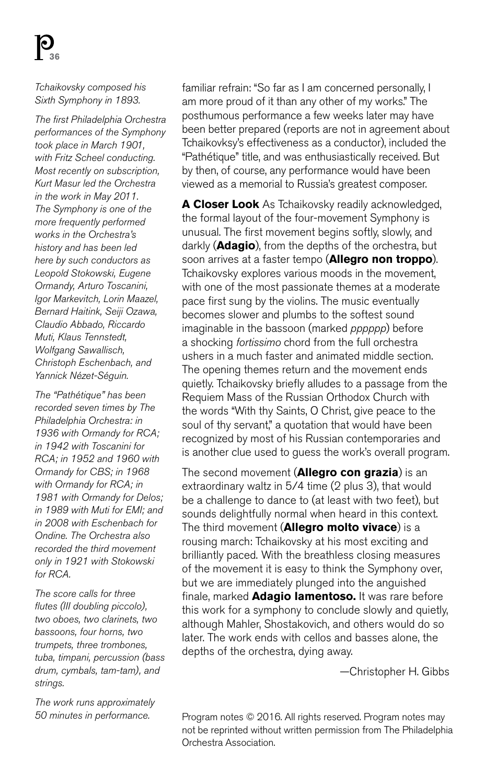*Tchaikovsky composed his Sixth Symphony in 1893.*

*The first Philadelphia Orchestra performances of the Symphony took place in March 1901, with Fritz Scheel conducting. Most recently on subscription, Kurt Masur led the Orchestra in the work in May 2011. The Symphony is one of the more frequently performed works in the Orchestra's history and has been led here by such conductors as Leopold Stokowski, Eugene Ormandy, Arturo Toscanini, Igor Markevitch, Lorin Maazel, Bernard Haitink, Seiji Ozawa, Claudio Abbado, Riccardo Muti, Klaus Tennstedt, Wolfgang Sawallisch, Christoph Eschenbach, and Yannick Nézet-Séguin.*

*The "Pathétique" has been recorded seven times by The Philadelphia Orchestra: in 1936 with Ormandy for RCA; in 1942 with Toscanini for RCA; in 1952 and 1960 with Ormandy for CBS; in 1968 with Ormandy for RCA; in 1981 with Ormandy for Delos; in 1989 with Muti for EMI; and in 2008 with Eschenbach for Ondine. The Orchestra also recorded the third movement only in 1921 with Stokowski for RCA.*

*The score calls for three flutes (III doubling piccolo), two oboes, two clarinets, two bassoons, four horns, two trumpets, three trombones, tuba, timpani, percussion (bass drum, cymbals, tam-tam), and strings.*

*The work runs approximately 50 minutes in performance.*

familiar refrain: "So far as I am concerned personally, I am more proud of it than any other of my works." The posthumous performance a few weeks later may have been better prepared (reports are not in agreement about Tchaikovksy's effectiveness as a conductor), included the "Pathétique" title, and was enthusiastically received. But by then, of course, any performance would have been viewed as a memorial to Russia's greatest composer.

**A Closer Look** As Tchaikovsky readily acknowledged, the formal layout of the four-movement Symphony is unusual. The first movement begins softly, slowly, and darkly (**Adagio**), from the depths of the orchestra, but soon arrives at a faster tempo (**Allegro non troppo**). Tchaikovsky explores various moods in the movement, with one of the most passionate themes at a moderate pace first sung by the violins. The music eventually becomes slower and plumbs to the softest sound imaginable in the bassoon (marked *pppppp*) before a shocking *fortissimo* chord from the full orchestra ushers in a much faster and animated middle section. The opening themes return and the movement ends quietly. Tchaikovsky briefly alludes to a passage from the Requiem Mass of the Russian Orthodox Church with the words "With thy Saints, O Christ, give peace to the soul of thy servant," a quotation that would have been recognized by most of his Russian contemporaries and is another clue used to guess the work's overall program.

The second movement (**Allegro con grazia**) is an extraordinary waltz in 5/4 time (2 plus 3), that would be a challenge to dance to (at least with two feet), but sounds delightfully normal when heard in this context. The third movement (**Allegro molto vivace**) is a rousing march: Tchaikovsky at his most exciting and brilliantly paced. With the breathless closing measures of the movement it is easy to think the Symphony over, but we are immediately plunged into the anguished finale, marked **Adagio lamentoso.** It was rare before this work for a symphony to conclude slowly and quietly, although Mahler, Shostakovich, and others would do so later. The work ends with cellos and basses alone, the depths of the orchestra, dying away.

—Christopher H. Gibbs

Program notes © 2016. All rights reserved. Program notes may not be reprinted without written permission from The Philadelphia Orchestra Association.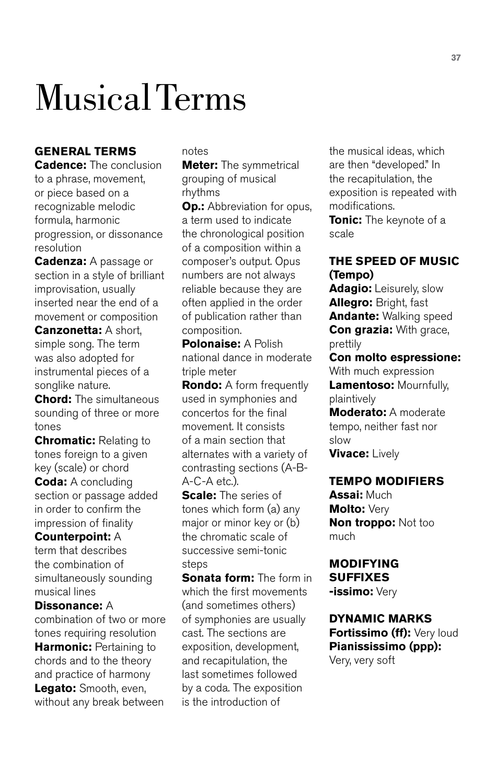# Musical Terms

#### **GENERAL TERMS**

**Cadence:** The conclusion to a phrase, movement, or piece based on a recognizable melodic formula, harmonic progression, or dissonance resolution

**Cadenza:** A passage or section in a style of brilliant improvisation, usually inserted near the end of a movement or composition **Canzonetta:** A short, simple song. The term was also adopted for instrumental pieces of a songlike nature.

**Chord:** The simultaneous sounding of three or more tones

**Chromatic:** Relating to tones foreign to a given key (scale) or chord

**Coda:** A concluding section or passage added in order to confirm the impression of finality

**Counterpoint:** A term that describes the combination of simultaneously sounding musical lines

**Dissonance:** A combination of two or more tones requiring resolution **Harmonic: Pertaining to** chords and to the theory and practice of harmony **Legato:** Smooth, even, without any break between

notes

**Meter:** The symmetrical grouping of musical rhythms

**Op.:** Abbreviation for opus, a term used to indicate the chronological position of a composition within a composer's output. Opus numbers are not always reliable because they are often applied in the order of publication rather than composition.

**Polonaise:** A Polish national dance in moderate triple meter

**Rondo:** A form frequently used in symphonies and concertos for the final movement. It consists of a main section that alternates with a variety of contrasting sections (A-B- $A-C-A$  etc.).

**Scale:** The series of tones which form (a) any major or minor key or (b) the chromatic scale of successive semi-tonic steps

**Sonata form:** The form in which the first movements (and sometimes others) of symphonies are usually cast. The sections are exposition, development, and recapitulation, the last sometimes followed by a coda. The exposition is the introduction of

the musical ideas, which are then "developed." In the recapitulation, the exposition is repeated with modifications.

**Tonic:** The keynote of a scale

#### **THE SPEED OF MUSIC (Tempo)**

**Adagio:** Leisurely, slow **Allegro:** Bright, fast **Andante:** Walking speed **Con grazia:** With grace, prettily

**Con molto espressione:**  With much expression **Lamentoso:** Mournfully, plaintively **Moderato:** A moderate tempo, neither fast nor slow **Vivace:** Lively

#### **TEMPO MODIFIERS**

**Assai:** Much **Molto:** Very **Non troppo:** Not too much

#### **MODIFYING SUFFIXES**

**-issimo:** Very

**DYNAMIC MARKS Fortissimo (ff):** Very loud **Pianississimo (ppp):** Very, very soft